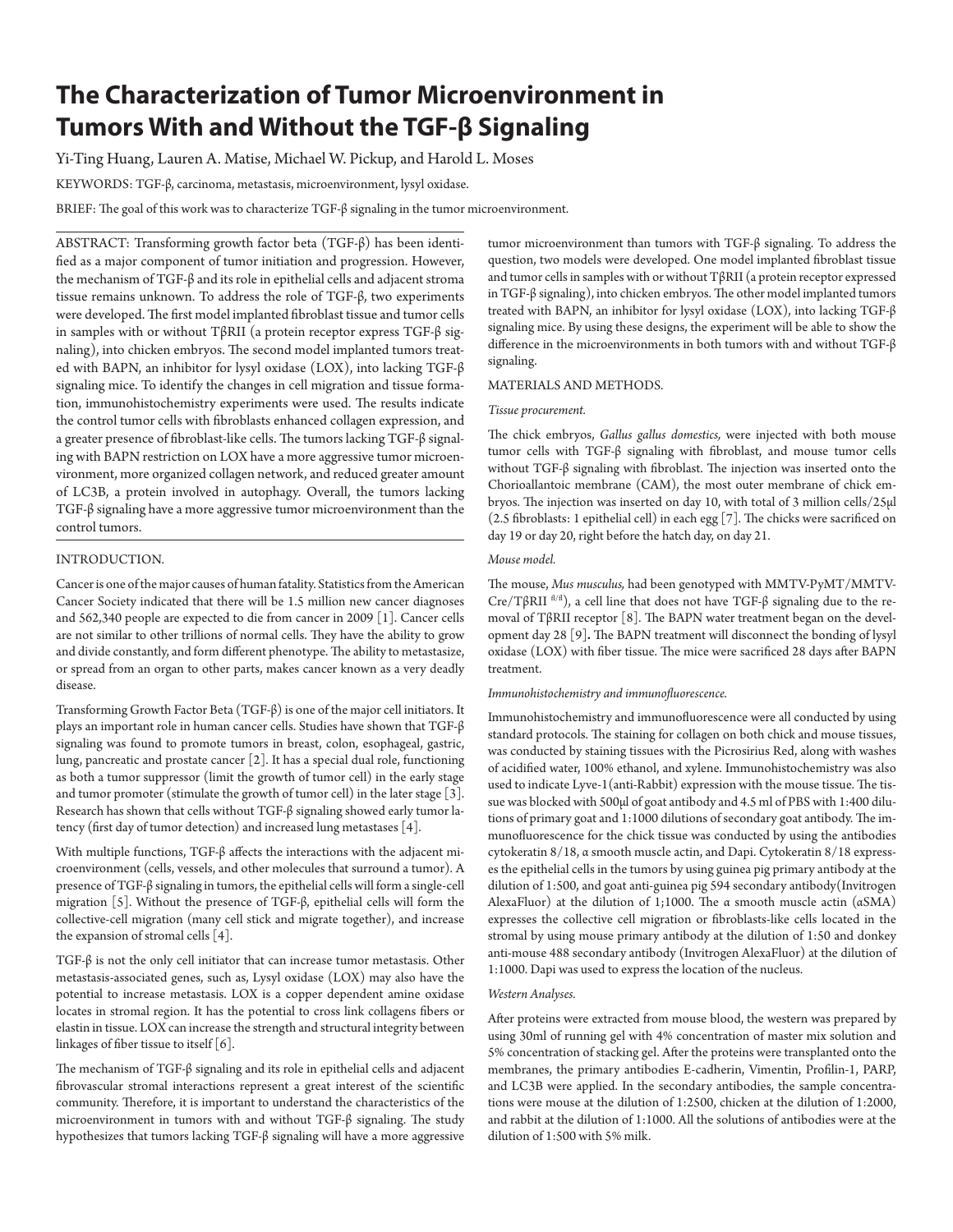# **The Characterization of Tumor Microenvironment in Tumors With and Without the TGF-β Signaling**

Yi-Ting Huang, Lauren A. Matise, Michael W. Pickup, and Harold L. Moses

KEYWORDS: TGF-β, carcinoma, metastasis, microenvironment, lysyl oxidase.

BRIEF: The goal of this work was to characterize TGF-β signaling in the tumor microenvironment.

ABSTRACT: Transforming growth factor beta (TGF-β) has been identified as a major component of tumor initiation and progression. However, the mechanism of TGF-β and its role in epithelial cells and adjacent stroma tissue remains unknown. To address the role of TGF-β, two experiments were developed. The first model implanted fibroblast tissue and tumor cells in samples with or without TβRII (a protein receptor express TGF-β signaling), into chicken embryos. The second model implanted tumors treated with BAPN, an inhibitor for lysyl oxidase (LOX), into lacking TGF-β signaling mice. To identify the changes in cell migration and tissue formation, immunohistochemistry experiments were used. The results indicate the control tumor cells with fibroblasts enhanced collagen expression, and a greater presence of fibroblast-like cells. The tumors lacking TGF-β signaling with BAPN restriction on LOX have a more aggressive tumor microenvironment, more organized collagen network, and reduced greater amount of LC3B, a protein involved in autophagy. Overall, the tumors lacking TGF-β signaling have a more aggressive tumor microenvironment than the control tumors.

## INTRODUCTION.

Cancer is one of the major causes of human fatality. Statistics from the American Cancer Society indicated that there will be 1.5 million new cancer diagnoses and 562,340 people are expected to die from cancer in 2009 [1]. Cancer cells are not similar to other trillions of normal cells. They have the ability to grow and divide constantly, and form different phenotype. The ability to metastasize, or spread from an organ to other parts, makes cancer known as a very deadly disease.

Transforming Growth Factor Beta (TGF-β) is one of the major cell initiators. It plays an important role in human cancer cells. Studies have shown that TGF-β signaling was found to promote tumors in breast, colon, esophageal, gastric, lung, pancreatic and prostate cancer [2]. It has a special dual role, functioning as both a tumor suppressor (limit the growth of tumor cell) in the early stage and tumor promoter (stimulate the growth of tumor cell) in the later stage [3]. Research has shown that cells without TGF-β signaling showed early tumor latency (first day of tumor detection) and increased lung metastases [4].

With multiple functions, TGF-β affects the interactions with the adjacent microenvironment (cells, vessels, and other molecules that surround a tumor). A presence of TGF-β signaling in tumors, the epithelial cells will form a single-cell migration [5]. Without the presence of TGF-β, epithelial cells will form the collective-cell migration (many cell stick and migrate together), and increase the expansion of stromal cells [4].

TGF-β is not the only cell initiator that can increase tumor metastasis. Other metastasis-associated genes, such as, Lysyl oxidase (LOX) may also have the potential to increase metastasis. LOX is a copper dependent amine oxidase locates in stromal region. It has the potential to cross link collagens fibers or elastin in tissue. LOX can increase the strength and structural integrity between linkages of fiber tissue to itself [6].

The mechanism of TGF-β signaling and its role in epithelial cells and adjacent fibrovascular stromal interactions represent a great interest of the scientific community. Therefore, it is important to understand the characteristics of the microenvironment in tumors with and without TGF-β signaling. The study hypothesizes that tumors lacking TGF-β signaling will have a more aggressive

tumor microenvironment than tumors with TGF-β signaling. To address the question, two models were developed. One model implanted fibroblast tissue and tumor cells in samples with or without TβRII (a protein receptor expressed in TGF-β signaling), into chicken embryos. The other model implanted tumors treated with BAPN, an inhibitor for lysyl oxidase (LOX), into lacking TGF-β signaling mice. By using these designs, the experiment will be able to show the difference in the microenvironments in both tumors with and without TGF-β signaling.

## MATERIALS AND METHODS.

## *Tissue procurement.*

The chick embryos, *Gallus gallus domestics,* were injected with both mouse tumor cells with TGF-β signaling with fibroblast, and mouse tumor cells without TGF-β signaling with fibroblast. The injection was inserted onto the Chorioallantoic membrane (CAM), the most outer membrane of chick embryos. The injection was inserted on day 10, with total of 3 million cells/25μl (2.5 fibroblasts: 1 epithelial cell) in each egg [7]. The chicks were sacrificed on day 19 or day 20, right before the hatch day, on day 21.

### *Mouse model.*

The mouse, *Mus musculus,* had been genotyped with MMTV-PyMT/MMTV-Cre/TβRII<sup> fl/fl</sup>), a cell line that does not have TGF-β signaling due to the removal of TβRII receptor [8]. The BAPN water treatment began on the development day 28 [9]**.** The BAPN treatment will disconnect the bonding of lysyl oxidase (LOX) with fiber tissue. The mice were sacrificed 28 days after BAPN treatment.

#### *Immunohistochemistry and immunofluorescence.*

Immunohistochemistry and immunofluorescence were all conducted by using standard protocols. The staining for collagen on both chick and mouse tissues, was conducted by staining tissues with the Picrosirius Red, along with washes of acidified water, 100% ethanol, and xylene. Immunohistochemistry was also used to indicate Lyve-1(anti-Rabbit) expression with the mouse tissue. The tissue was blocked with 500μl of goat antibody and 4.5 ml of PBS with 1:400 dilutions of primary goat and 1:1000 dilutions of secondary goat antibody. The immunofluorescence for the chick tissue was conducted by using the antibodies cytokeratin 8/18, α smooth muscle actin, and Dapi. Cytokeratin 8/18 expresses the epithelial cells in the tumors by using guinea pig primary antibody at the dilution of 1:500, and goat anti-guinea pig 594 secondary antibody(Invitrogen AlexaFluor) at the dilution of 1;1000. The α smooth muscle actin (αSMA) expresses the collective cell migration or fibroblasts-like cells located in the stromal by using mouse primary antibody at the dilution of 1:50 and donkey anti-mouse 488 secondary antibody (Invitrogen AlexaFluor) at the dilution of 1:1000. Dapi was used to express the location of the nucleus.

# *Western Analyses.*

After proteins were extracted from mouse blood, the western was prepared by using 30ml of running gel with 4% concentration of master mix solution and 5% concentration of stacking gel. After the proteins were transplanted onto the membranes, the primary antibodies E-cadherin, Vimentin, Profilin-1, PARP, and LC3B were applied. In the secondary antibodies, the sample concentrations were mouse at the dilution of 1:2500, chicken at the dilution of 1:2000, and rabbit at the dilution of 1:1000. All the solutions of antibodies were at the dilution of 1:500 with 5% milk.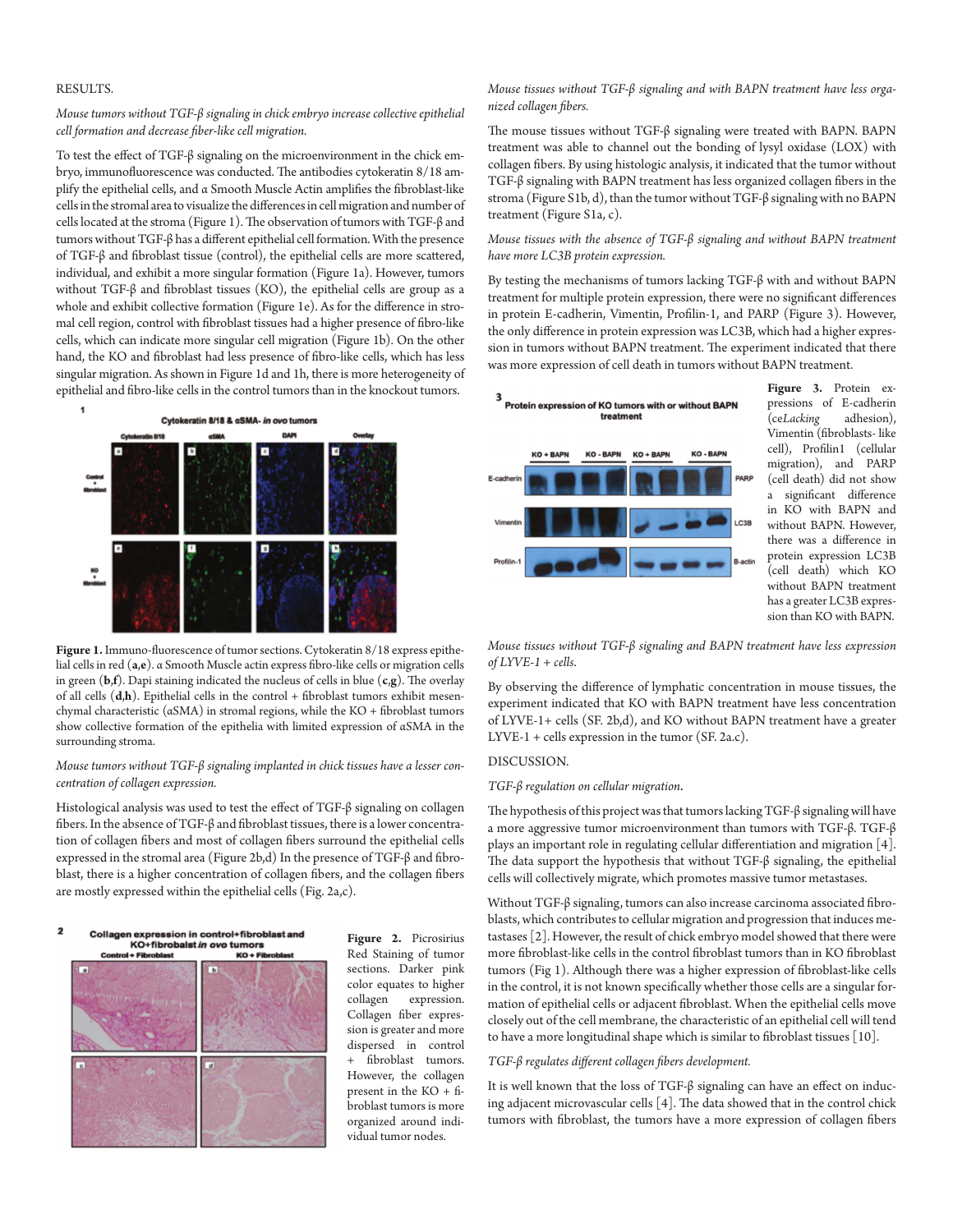# RESULTS.

## *Mouse tumors without TGF-β signaling in chick embryo increase collective epithelial cell formation and decrease fiber-like cell migration.*

To test the effect of TGF-β signaling on the microenvironment in the chick embryo, immunofluorescence was conducted. The antibodies cytokeratin 8/18 amplify the epithelial cells, and α Smooth Muscle Actin amplifies the fibroblast-like cells in the stromal area to visualize the differences in cell migration and number of cells located at the stroma (Figure 1). The observation of tumors with TGF-β and tumors without TGF-β has a different epithelial cell formation. With the presence of TGF-β and fibroblast tissue (control), the epithelial cells are more scattered, individual, and exhibit a more singular formation (Figure 1a). However, tumors without TGF-β and fibroblast tissues (KO), the epithelial cells are group as a whole and exhibit collective formation (Figure 1e). As for the difference in stromal cell region, control with fibroblast tissues had a higher presence of fibro-like cells, which can indicate more singular cell migration (Figure 1b). On the other hand, the KO and fibroblast had less presence of fibro-like cells, which has less singular migration. As shown in Figure 1d and 1h, there is more heterogeneity of epithelial and fibro-like cells in the control tumors than in the knockout tumors.



**Figure 1.** Immuno-fluorescence of tumor sections. Cytokeratin 8/18 express epithelial cells in red (**a**,**e**). α Smooth Muscle actin express fibro-like cells or migration cells in green (**b**,**f**). Dapi staining indicated the nucleus of cells in blue (**c**,**g**). The overlay of all cells (**d**,**h**). Epithelial cells in the control + fibroblast tumors exhibit mesenchymal characteristic (αSMA) in stromal regions, while the KO + fibroblast tumors show collective formation of the epithelia with limited expression of αSMA in the surrounding stroma.

# *Mouse tumors without TGF-β signaling implanted in chick tissues have a lesser concentration of collagen expression.*

Histological analysis was used to test the effect of TGF-β signaling on collagen fibers. In the absence of TGF-β and fibroblast tissues, there is a lower concentration of collagen fibers and most of collagen fibers surround the epithelial cells expressed in the stromal area (Figure 2b,d) In the presence of TGF-β and fibroblast, there is a higher concentration of collagen fibers, and the collagen fibers are mostly expressed within the epithelial cells (Fig. 2a,c).





**Figure 2.** Picrosirius Red Staining of tumor sections. Darker pink color equates to higher<br>collagen expression. expression. Collagen fiber expression is greater and more dispersed in control + fibroblast tumors. However, the collagen present in the KO + fibroblast tumors is more organized around individual tumor nodes.

*Mouse tissues without TGF-β signaling and with BAPN treatment have less organized collagen fibers.* 

The mouse tissues without TGF-β signaling were treated with BAPN. BAPN treatment was able to channel out the bonding of lysyl oxidase (LOX) with collagen fibers. By using histologic analysis, it indicated that the tumor without TGF-β signaling with BAPN treatment has less organized collagen fibers in the stroma (Figure S1b, d), than the tumor without TGF-β signaling with no BAPN treatment (Figure S1a, c).

# *Mouse tissues with the absence of TGF-β signaling and without BAPN treatment have more LC3B protein expression.*

By testing the mechanisms of tumors lacking TGF-β with and without BAPN treatment for multiple protein expression, there were no significant differences in protein E-cadherin, Vimentin, Profilin-1, and PARP (Figure 3). However, the only difference in protein expression was LC3B, which had a higher expression in tumors without BAPN treatment. The experiment indicated that there was more expression of cell death in tumors without BAPN treatment.



**Figure 3.** Protein expressions of E-cadherin<br>(ceLacking adhesion),  $\tilde{C}$ ce*Lacking* Vimentin (fibroblasts- like cell), Profilin1 (cellular migration), and PARP (cell death) did not show a significant difference in KO with BAPN and without BAPN. However, there was a difference in protein expression LC3B (cell death) which KO without BAPN treatment has a greater LC3B expression than KO with BAPN.

*Mouse tissues without TGF-β signaling and BAPN treatment have less expression of LYVE-1 + cells*.

By observing the difference of lymphatic concentration in mouse tissues, the experiment indicated that KO with BAPN treatment have less concentration of LYVE-1+ cells (SF. 2b,d), and KO without BAPN treatment have a greater LYVE-1 + cells expression in the tumor (SF. 2a.c).

# DISCUSSION.

#### *TGF-β regulation on cellular migration.*

The hypothesis of this project was that tumors lacking TGF-β signaling will have a more aggressive tumor microenvironment than tumors with TGF-β. TGF-β plays an important role in regulating cellular differentiation and migration [4]. The data support the hypothesis that without TGF-β signaling, the epithelial cells will collectively migrate, which promotes massive tumor metastases.

Without TGF-β signaling, tumors can also increase carcinoma associated fibroblasts, which contributes to cellular migration and progression that induces metastases [2]. However, the result of chick embryo model showed that there were more fibroblast-like cells in the control fibroblast tumors than in KO fibroblast tumors (Fig 1). Although there was a higher expression of fibroblast-like cells in the control, it is not known specifically whether those cells are a singular formation of epithelial cells or adjacent fibroblast. When the epithelial cells move closely out of the cell membrane, the characteristic of an epithelial cell will tend to have a more longitudinal shape which is similar to fibroblast tissues [10].

## *TGF-β regulates different collagen fibers development.*

It is well known that the loss of TGF-β signaling can have an effect on inducing adjacent microvascular cells [4]. The data showed that in the control chick tumors with fibroblast, the tumors have a more expression of collagen fibers